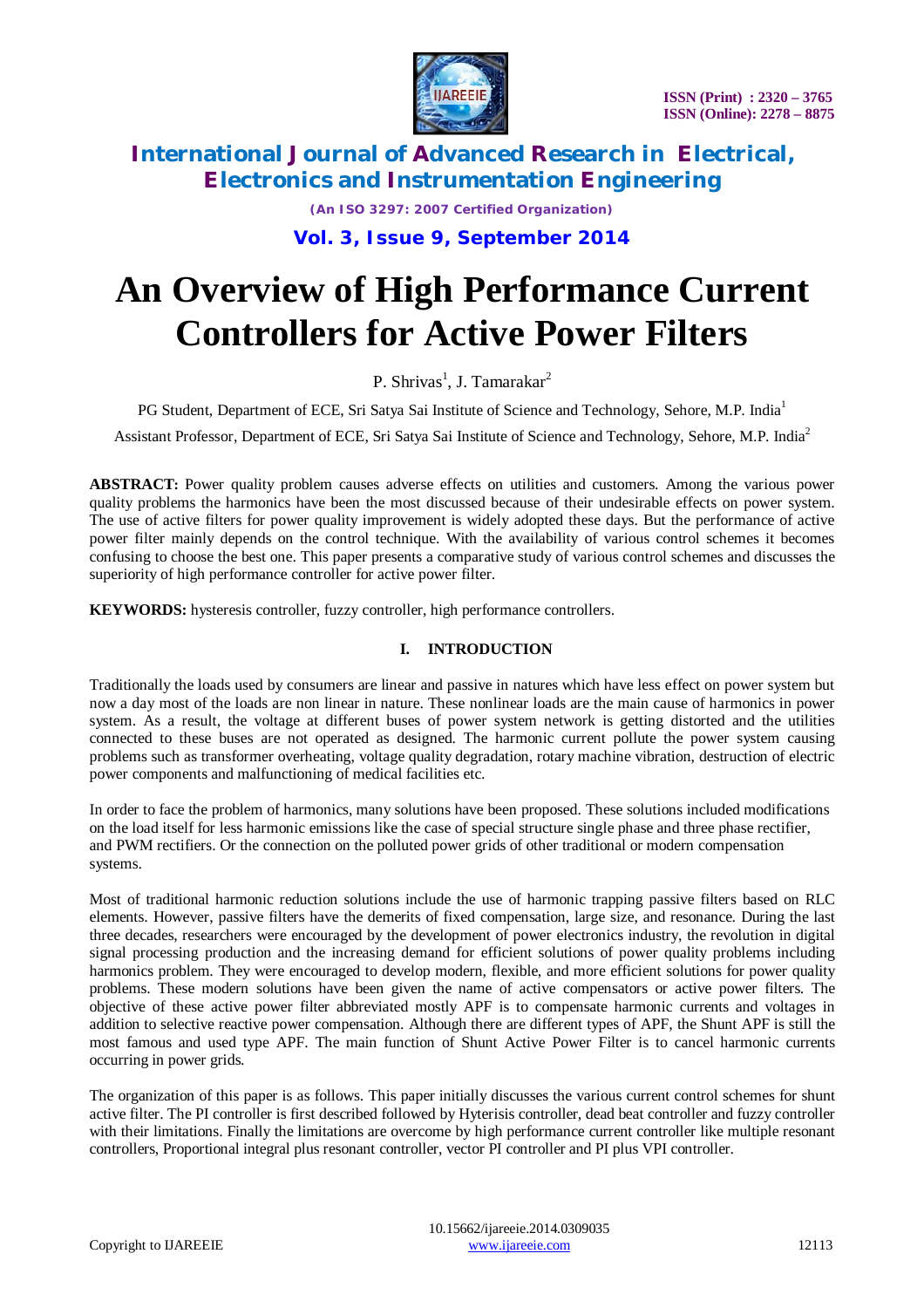

*(An ISO 3297: 2007 Certified Organization)*

### **Vol. 3, Issue 9, September 2014**

# **An Overview of High Performance Current Controllers for Active Power Filters**

P. Shrivas<sup>1</sup>, J. Tamarakar<sup>2</sup>

PG Student, Department of ECE, Sri Satya Sai Institute of Science and Technology, Sehore, M.P. India<sup>1</sup>

Assistant Professor, Department of ECE, Sri Satya Sai Institute of Science and Technology, Sehore, M.P. India<sup>2</sup>

**ABSTRACT:** Power quality problem causes adverse effects on utilities and customers. Among the various power quality problems the harmonics have been the most discussed because of their undesirable effects on power system. The use of active filters for power quality improvement is widely adopted these days. But the performance of active power filter mainly depends on the control technique. With the availability of various control schemes it becomes confusing to choose the best one. This paper presents a comparative study of various control schemes and discusses the superiority of high performance controller for active power filter.

**KEYWORDS:** hysteresis controller, fuzzy controller, high performance controllers.

### **I. INTRODUCTION**

Traditionally the loads used by consumers are linear and passive in natures which have less effect on power system but now a day most of the loads are non linear in nature. These nonlinear loads are the main cause of harmonics in power system. As a result, the voltage at different buses of power system network is getting distorted and the utilities connected to these buses are not operated as designed. The harmonic current pollute the power system causing problems such as transformer overheating, voltage quality degradation, rotary machine vibration, destruction of electric power components and malfunctioning of medical facilities etc.

In order to face the problem of harmonics, many solutions have been proposed. These solutions included modifications on the load itself for less harmonic emissions like the case of special structure single phase and three phase rectifier, and PWM rectifiers. Or the connection on the polluted power grids of other traditional or modern compensation systems.

Most of traditional harmonic reduction solutions include the use of harmonic trapping passive filters based on RLC elements. However, passive filters have the demerits of fixed compensation, large size, and resonance. During the last three decades, researchers were encouraged by the development of power electronics industry, the revolution in digital signal processing production and the increasing demand for efficient solutions of power quality problems including harmonics problem. They were encouraged to develop modern, flexible, and more efficient solutions for power quality problems. These modern solutions have been given the name of active compensators or active power filters. The objective of these active power filter abbreviated mostly APF is to compensate harmonic currents and voltages in addition to selective reactive power compensation. Although there are different types of APF, the Shunt APF is still the most famous and used type APF. The main function of Shunt Active Power Filter is to cancel harmonic currents occurring in power grids.

The organization of this paper is as follows. This paper initially discusses the various current control schemes for shunt active filter. The PI controller is first described followed by Hyterisis controller, dead beat controller and fuzzy controller with their limitations. Finally the limitations are overcome by high performance current controller like multiple resonant controllers, Proportional integral plus resonant controller, vector PI controller and PI plus VPI controller.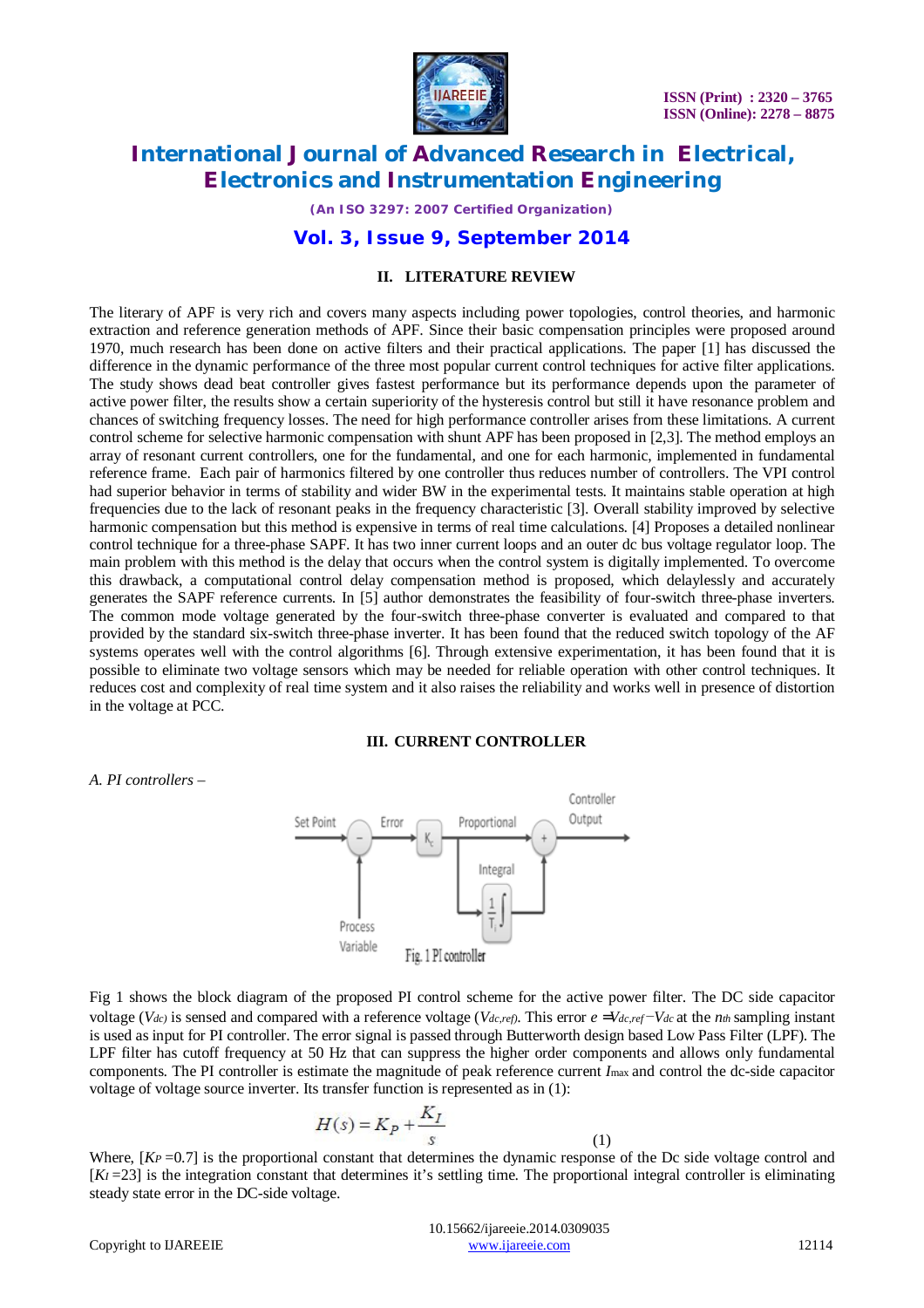

*(An ISO 3297: 2007 Certified Organization)*

### **Vol. 3, Issue 9, September 2014**

### **II. LITERATURE REVIEW**

The literary of APF is very rich and covers many aspects including power topologies, control theories, and harmonic extraction and reference generation methods of APF. Since their basic compensation principles were proposed around 1970, much research has been done on active filters and their practical applications. The paper [1] has discussed the difference in the dynamic performance of the three most popular current control techniques for active filter applications. The study shows dead beat controller gives fastest performance but its performance depends upon the parameter of active power filter, the results show a certain superiority of the hysteresis control but still it have resonance problem and chances of switching frequency losses. The need for high performance controller arises from these limitations. A current control scheme for selective harmonic compensation with shunt APF has been proposed in [2,3]. The method employs an array of resonant current controllers, one for the fundamental, and one for each harmonic, implemented in fundamental reference frame. Each pair of harmonics filtered by one controller thus reduces number of controllers. The VPI control had superior behavior in terms of stability and wider BW in the experimental tests. It maintains stable operation at high frequencies due to the lack of resonant peaks in the frequency characteristic [3]. Overall stability improved by selective harmonic compensation but this method is expensive in terms of real time calculations. [4] Proposes a detailed nonlinear control technique for a three-phase SAPF. It has two inner current loops and an outer dc bus voltage regulator loop. The main problem with this method is the delay that occurs when the control system is digitally implemented. To overcome this drawback, a computational control delay compensation method is proposed, which delaylessly and accurately generates the SAPF reference currents. In [5] author demonstrates the feasibility of four-switch three-phase inverters. The common mode voltage generated by the four-switch three-phase converter is evaluated and compared to that provided by the standard six-switch three-phase inverter. It has been found that the reduced switch topology of the AF systems operates well with the control algorithms [6]. Through extensive experimentation, it has been found that it is possible to eliminate two voltage sensors which may be needed for reliable operation with other control techniques. It reduces cost and complexity of real time system and it also raises the reliability and works well in presence of distortion in the voltage at PCC.

#### **III. CURRENT CONTROLLER**

*A. PI controllers –*



Fig 1 shows the block diagram of the proposed PI control scheme for the active power filter. The DC side capacitor voltage ( $V_{dc}$ ) is sensed and compared with a reference voltage ( $V_{dc,ref}$ ). This error  $e = V_{dc,ref} - V_{dc}$  at the  $n_t$  sampling instant is used as input for PI controller. The error signal is passed through Butterworth design based Low Pass Filter (LPF). The LPF filter has cutoff frequency at 50 Hz that can suppress the higher order components and allows only fundamental components. The PI controller is estimate the magnitude of peak reference current *I*max and control the dc-side capacitor voltage of voltage source inverter. Its transfer function is represented as in (1):

$$
H(s) = K_P + \frac{K_I}{s}
$$

Where,  $[KP = 0.7]$  is the proportional constant that determines the dynamic response of the Dc side voltage control and  $[KI = 23]$  is the integration constant that determines it's settling time. The proportional integral controller is eliminating steady state error in the DC-side voltage.

(1)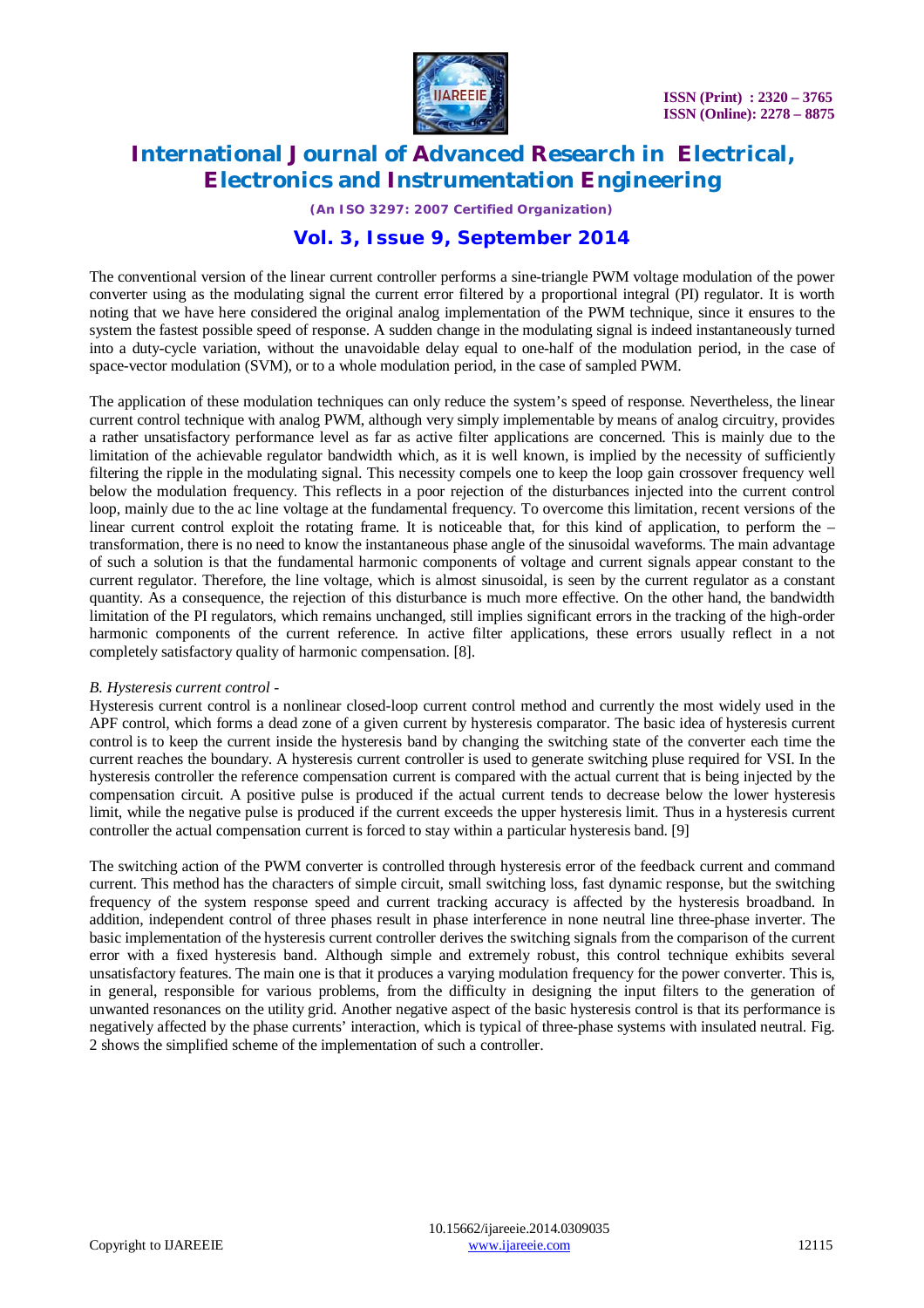

*(An ISO 3297: 2007 Certified Organization)*

### **Vol. 3, Issue 9, September 2014**

The conventional version of the linear current controller performs a sine-triangle PWM voltage modulation of the power converter using as the modulating signal the current error filtered by a proportional integral (PI) regulator. It is worth noting that we have here considered the original analog implementation of the PWM technique, since it ensures to the system the fastest possible speed of response. A sudden change in the modulating signal is indeed instantaneously turned into a duty-cycle variation, without the unavoidable delay equal to one-half of the modulation period, in the case of space-vector modulation (SVM), or to a whole modulation period, in the case of sampled PWM.

The application of these modulation techniques can only reduce the system's speed of response. Nevertheless, the linear current control technique with analog PWM, although very simply implementable by means of analog circuitry, provides a rather unsatisfactory performance level as far as active filter applications are concerned. This is mainly due to the limitation of the achievable regulator bandwidth which, as it is well known, is implied by the necessity of sufficiently filtering the ripple in the modulating signal. This necessity compels one to keep the loop gain crossover frequency well below the modulation frequency. This reflects in a poor rejection of the disturbances injected into the current control loop, mainly due to the ac line voltage at the fundamental frequency. To overcome this limitation, recent versions of the linear current control exploit the rotating frame. It is noticeable that, for this kind of application, to perform the – transformation, there is no need to know the instantaneous phase angle of the sinusoidal waveforms. The main advantage of such a solution is that the fundamental harmonic components of voltage and current signals appear constant to the current regulator. Therefore, the line voltage, which is almost sinusoidal, is seen by the current regulator as a constant quantity. As a consequence, the rejection of this disturbance is much more effective. On the other hand, the bandwidth limitation of the PI regulators, which remains unchanged, still implies significant errors in the tracking of the high-order harmonic components of the current reference. In active filter applications, these errors usually reflect in a not completely satisfactory quality of harmonic compensation. [8].

### *B. Hysteresis current control -*

Hysteresis current control is a nonlinear closed-loop current control method and currently the most widely used in the APF control, which forms a dead zone of a given current by hysteresis comparator. The basic idea of hysteresis current control is to keep the current inside the hysteresis band by changing the switching state of the converter each time the current reaches the boundary. A hysteresis current controller is used to generate switching pluse required for VSI. In the hysteresis controller the reference compensation current is compared with the actual current that is being injected by the compensation circuit. A positive pulse is produced if the actual current tends to decrease below the lower hysteresis limit, while the negative pulse is produced if the current exceeds the upper hysteresis limit. Thus in a hysteresis current controller the actual compensation current is forced to stay within a particular hysteresis band. [9]

The switching action of the PWM converter is controlled through hysteresis error of the feedback current and command current. This method has the characters of simple circuit, small switching loss, fast dynamic response, but the switching frequency of the system response speed and current tracking accuracy is affected by the hysteresis broadband. In addition, independent control of three phases result in phase interference in none neutral line three-phase inverter. The basic implementation of the hysteresis current controller derives the switching signals from the comparison of the current error with a fixed hysteresis band. Although simple and extremely robust, this control technique exhibits several unsatisfactory features. The main one is that it produces a varying modulation frequency for the power converter. This is, in general, responsible for various problems, from the difficulty in designing the input filters to the generation of unwanted resonances on the utility grid. Another negative aspect of the basic hysteresis control is that its performance is negatively affected by the phase currents' interaction, which is typical of three-phase systems with insulated neutral. Fig. 2 shows the simplified scheme of the implementation of such a controller.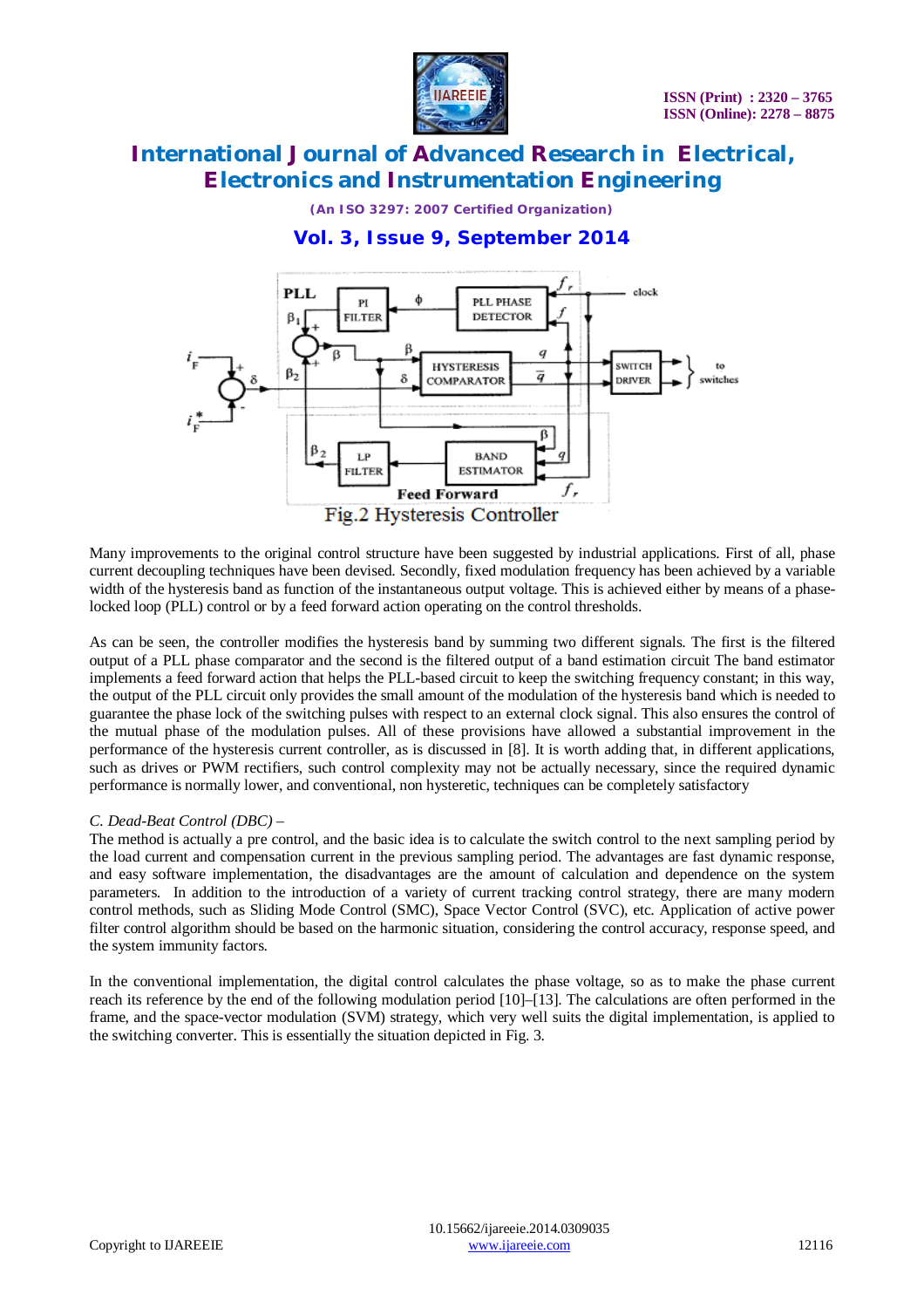

*(An ISO 3297: 2007 Certified Organization)*

### **Vol. 3, Issue 9, September 2014**



Many improvements to the original control structure have been suggested by industrial applications. First of all, phase current decoupling techniques have been devised. Secondly, fixed modulation frequency has been achieved by a variable width of the hysteresis band as function of the instantaneous output voltage. This is achieved either by means of a phaselocked loop (PLL) control or by a feed forward action operating on the control thresholds.

As can be seen, the controller modifies the hysteresis band by summing two different signals. The first is the filtered output of a PLL phase comparator and the second is the filtered output of a band estimation circuit The band estimator implements a feed forward action that helps the PLL-based circuit to keep the switching frequency constant; in this way, the output of the PLL circuit only provides the small amount of the modulation of the hysteresis band which is needed to guarantee the phase lock of the switching pulses with respect to an external clock signal. This also ensures the control of the mutual phase of the modulation pulses. All of these provisions have allowed a substantial improvement in the performance of the hysteresis current controller, as is discussed in [8]. It is worth adding that, in different applications, such as drives or PWM rectifiers, such control complexity may not be actually necessary, since the required dynamic performance is normally lower, and conventional, non hysteretic, techniques can be completely satisfactory

### *C. Dead-Beat Control (DBC) –*

The method is actually a pre control, and the basic idea is to calculate the switch control to the next sampling period by the load current and compensation current in the previous sampling period. The advantages are fast dynamic response, and easy software implementation, the disadvantages are the amount of calculation and dependence on the system parameters. In addition to the introduction of a variety of current tracking control strategy, there are many modern control methods, such as Sliding Mode Control (SMC), Space Vector Control (SVC), etc. Application of active power filter control algorithm should be based on the harmonic situation, considering the control accuracy, response speed, and the system immunity factors.

In the conventional implementation, the digital control calculates the phase voltage, so as to make the phase current reach its reference by the end of the following modulation period [10]–[13]. The calculations are often performed in the frame, and the space-vector modulation (SVM) strategy, which very well suits the digital implementation, is applied to the switching converter. This is essentially the situation depicted in Fig. 3.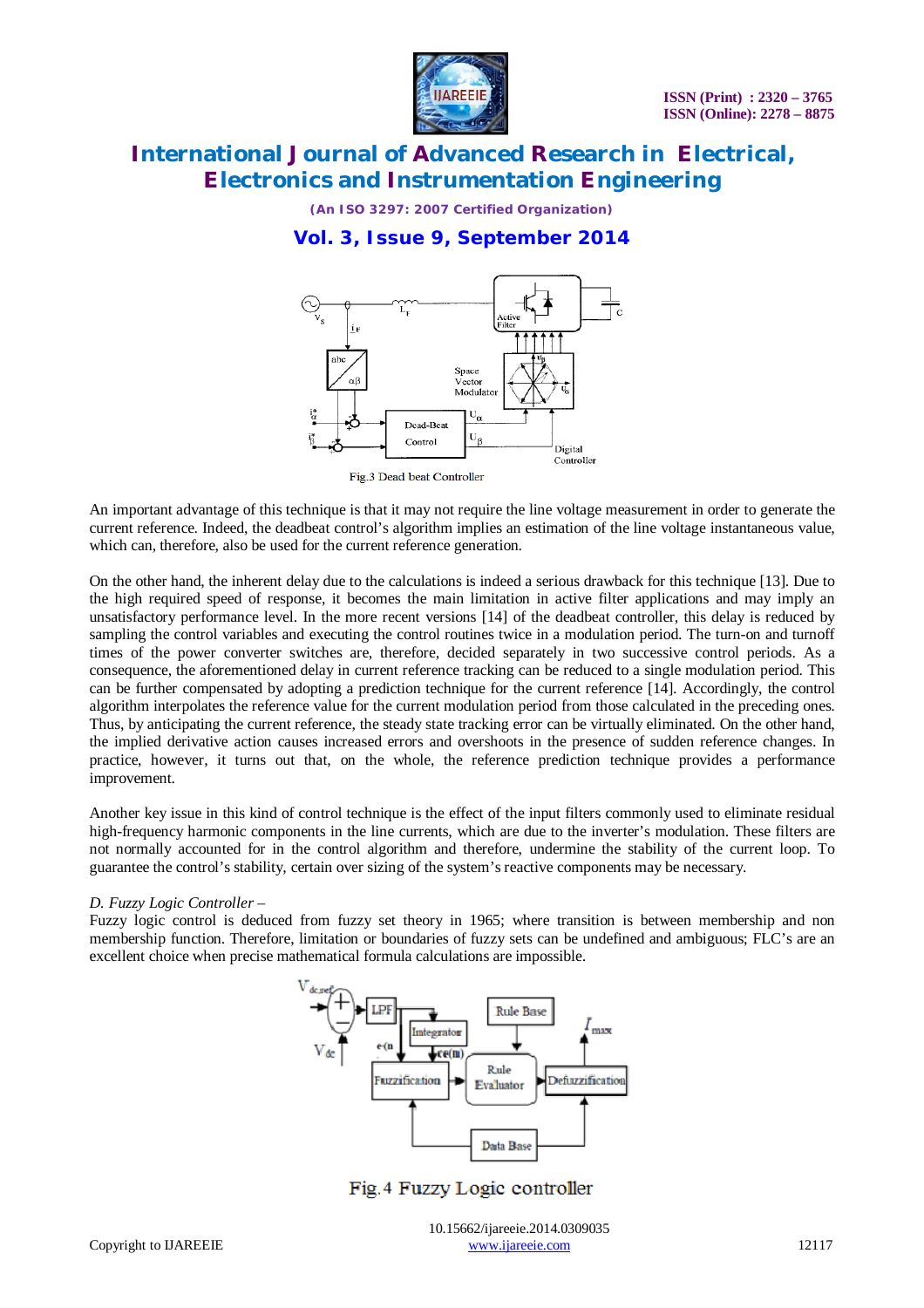

*(An ISO 3297: 2007 Certified Organization)*

### **Vol. 3, Issue 9, September 2014**



Fig.3 Dead beat Controller

An important advantage of this technique is that it may not require the line voltage measurement in order to generate the current reference. Indeed, the deadbeat control's algorithm implies an estimation of the line voltage instantaneous value, which can, therefore, also be used for the current reference generation.

On the other hand, the inherent delay due to the calculations is indeed a serious drawback for this technique [13]. Due to the high required speed of response, it becomes the main limitation in active filter applications and may imply an unsatisfactory performance level. In the more recent versions [14] of the deadbeat controller, this delay is reduced by sampling the control variables and executing the control routines twice in a modulation period. The turn-on and turnoff times of the power converter switches are, therefore, decided separately in two successive control periods. As a consequence, the aforementioned delay in current reference tracking can be reduced to a single modulation period. This can be further compensated by adopting a prediction technique for the current reference [14]. Accordingly, the control algorithm interpolates the reference value for the current modulation period from those calculated in the preceding ones. Thus, by anticipating the current reference, the steady state tracking error can be virtually eliminated. On the other hand, the implied derivative action causes increased errors and overshoots in the presence of sudden reference changes. In practice, however, it turns out that, on the whole, the reference prediction technique provides a performance improvement.

Another key issue in this kind of control technique is the effect of the input filters commonly used to eliminate residual high-frequency harmonic components in the line currents, which are due to the inverter's modulation. These filters are not normally accounted for in the control algorithm and therefore, undermine the stability of the current loop. To guarantee the control's stability, certain over sizing of the system's reactive components may be necessary.

### *D. Fuzzy Logic Controller –*

Fuzzy logic control is deduced from fuzzy set theory in 1965; where transition is between membership and non membership function. Therefore, limitation or boundaries of fuzzy sets can be undefined and ambiguous; FLC's are an excellent choice when precise mathematical formula calculations are impossible.



Fig. 4 Fuzzy Logic controller

 10.15662/ijareeie.2014.0309035 Copyright to IJAREEIE www.ijareeie.com 12117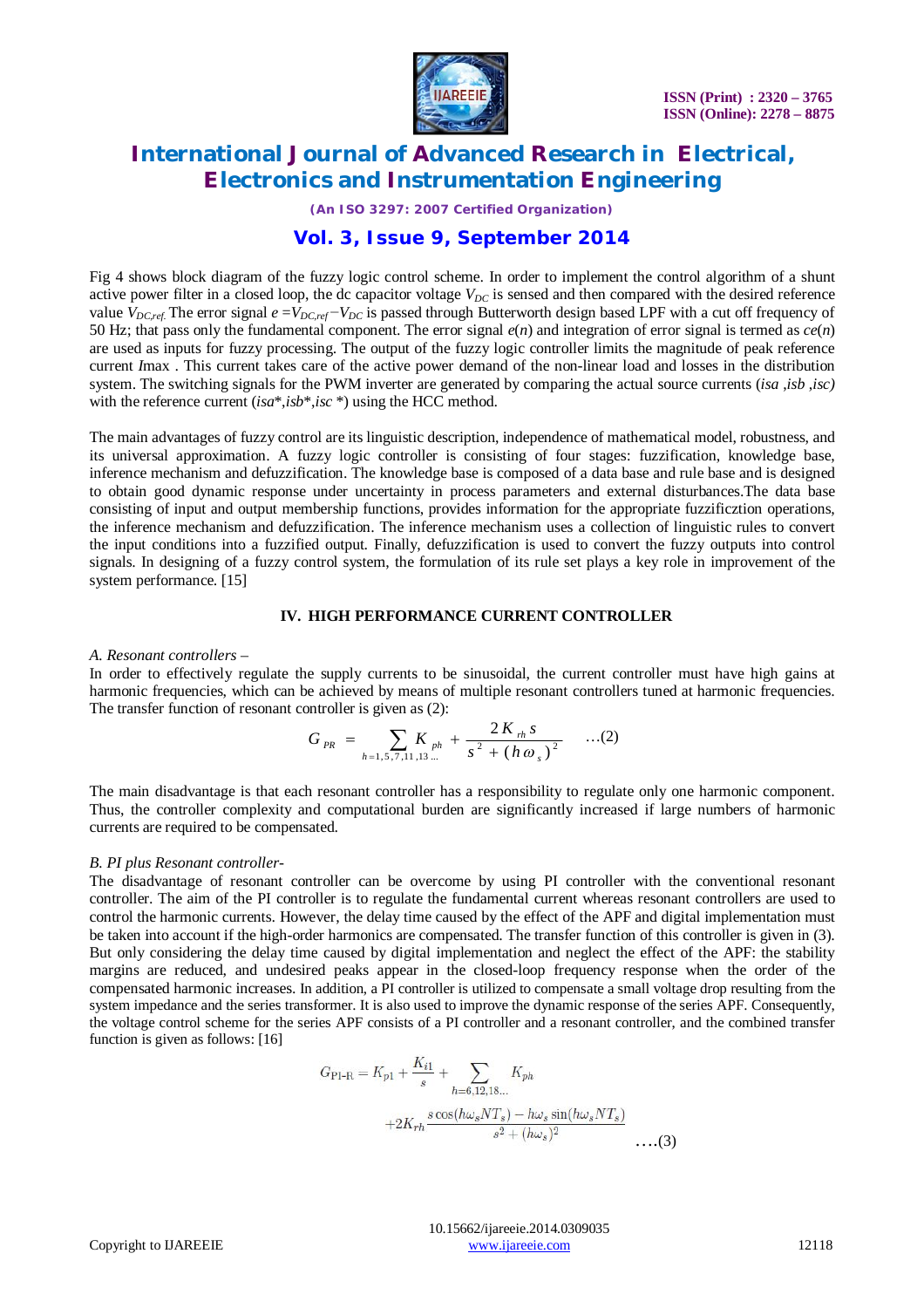

*(An ISO 3297: 2007 Certified Organization)*

### **Vol. 3, Issue 9, September 2014**

Fig 4 shows block diagram of the fuzzy logic control scheme. In order to implement the control algorithm of a shunt active power filter in a closed loop, the dc capacitor voltage  $V_{DC}$  is sensed and then compared with the desired reference value  $V_{DC,ref}$ . The error signal  $e = V_{DC,ref} - V_{DC}$  is passed through Butterworth design based LPF with a cut off frequency of 50 Hz; that pass only the fundamental component. The error signal *e*(*n*) and integration of error signal is termed as *ce*(*n*) are used as inputs for fuzzy processing. The output of the fuzzy logic controller limits the magnitude of peak reference current *I*max . This current takes care of the active power demand of the non-linear load and losses in the distribution system. The switching signals for the PWM inverter are generated by comparing the actual source currents (*isa* ,*isb* ,*isc)* with the reference current *(isa\*,isb\*,isc \*)* using the HCC method.

The main advantages of fuzzy control are its linguistic description, independence of mathematical model, robustness, and its universal approximation. A fuzzy logic controller is consisting of four stages: fuzzification, knowledge base, inference mechanism and defuzzification. The knowledge base is composed of a data base and rule base and is designed to obtain good dynamic response under uncertainty in process parameters and external disturbances.The data base consisting of input and output membership functions, provides information for the appropriate fuzzificztion operations, the inference mechanism and defuzzification. The inference mechanism uses a collection of linguistic rules to convert the input conditions into a fuzzified output. Finally, defuzzification is used to convert the fuzzy outputs into control signals. In designing of a fuzzy control system, the formulation of its rule set plays a key role in improvement of the system performance. [15]

#### **IV. HIGH PERFORMANCE CURRENT CONTROLLER**

#### *A. Resonant controllers –*

In order to effectively regulate the supply currents to be sinusoidal, the current controller must have high gains at harmonic frequencies, which can be achieved by means of multiple resonant controllers tuned at harmonic frequencies. The transfer function of resonant controller is given as (2):

$$
G_{PR} = \sum_{h=1,5,7,11,13...} K_{ph} + \frac{2 K_{rh} s}{s^2 + (h \omega_s)^2} \qquad ...(2)
$$

The main disadvantage is that each resonant controller has a responsibility to regulate only one harmonic component. Thus, the controller complexity and computational burden are significantly increased if large numbers of harmonic currents are required to be compensated.

#### *B. PI plus Resonant controller-*

The disadvantage of resonant controller can be overcome by using PI controller with the conventional resonant controller. The aim of the PI controller is to regulate the fundamental current whereas resonant controllers are used to control the harmonic currents. However, the delay time caused by the effect of the APF and digital implementation must be taken into account if the high-order harmonics are compensated. The transfer function of this controller is given in (3). But only considering the delay time caused by digital implementation and neglect the effect of the APF: the stability margins are reduced, and undesired peaks appear in the closed-loop frequency response when the order of the compensated harmonic increases. In addition, a PI controller is utilized to compensate a small voltage drop resulting from the system impedance and the series transformer. It is also used to improve the dynamic response of the series APF. Consequently, the voltage control scheme for the series APF consists of a PI controller and a resonant controller, and the combined transfer function is given as follows: [16]

$$
G_{\text{PI-R}} = K_{p1} + \frac{K_{i1}}{s} + \sum_{h=6,12,18...} K_{ph}
$$

$$
+ 2K_{rh} \frac{s \cos(h\omega_s NT_s) - h\omega_s \sin(h\omega_s NT_s)}{s^2 + (h\omega_s)^2} \dots (3)
$$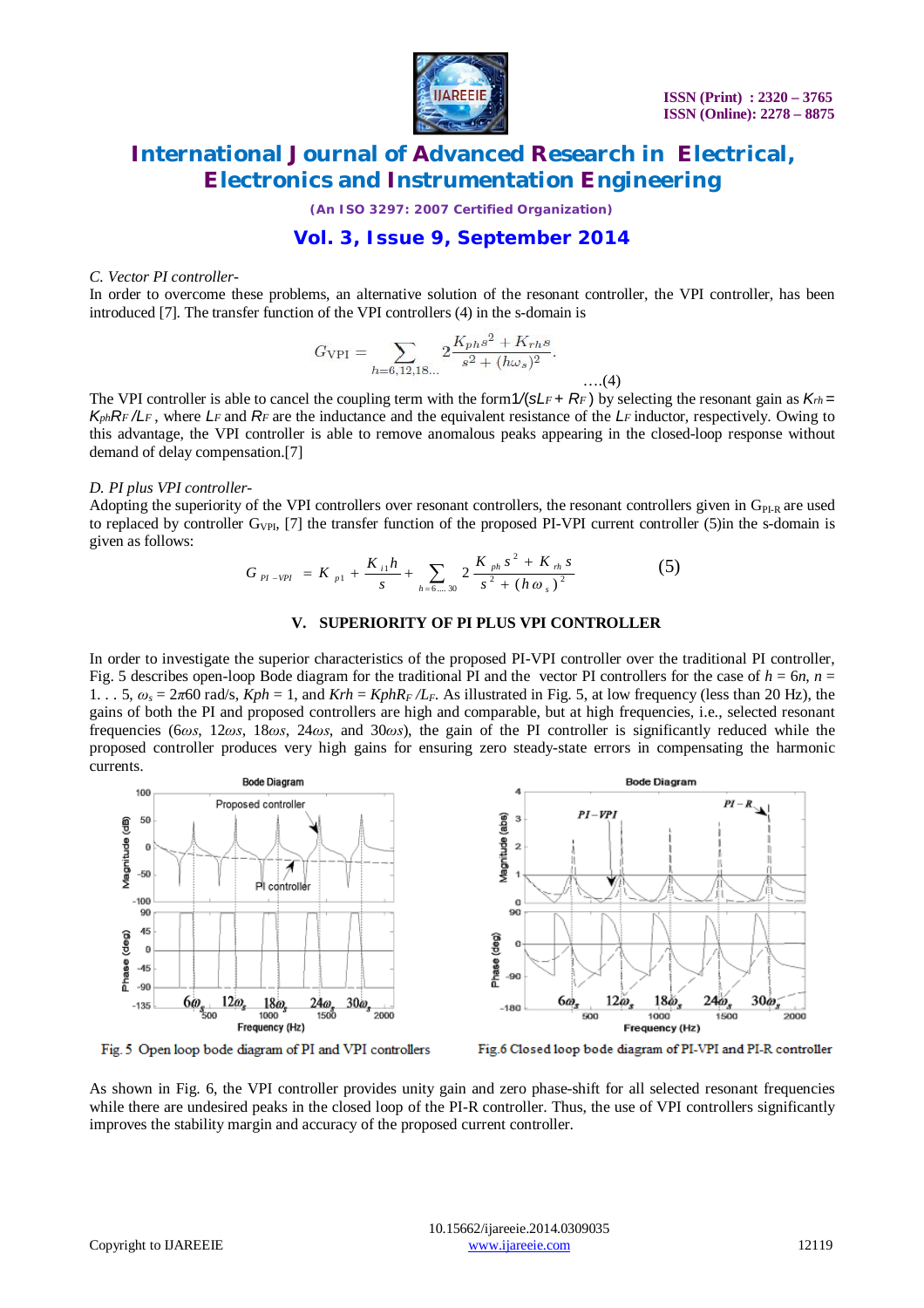

*(An ISO 3297: 2007 Certified Organization)*

### **Vol. 3, Issue 9, September 2014**

### *C. Vector PI controller-*

In order to overcome these problems, an alternative solution of the resonant controller, the VPI controller, has been introduced [7]. The transfer function of the VPI controllers (4) in the s-domain is

$$
G_{\rm VPI} = \sum_{h=6,12,18...} 2 \frac{K_{ph}s^2 + K_{rh}s}{s^2 + (h\omega_s)^2}.
$$
 (4)

The VPI controller is able to cancel the coupling term with the form1/( $SLF + RF$ ) by selecting the resonant gain as  $K_h =$  $K_{ph}$ *R<sub>F</sub>* /*L<sub>F</sub>* , where *L<sub>F</sub>* and *R<sub>F</sub>* are the inductance and the equivalent resistance of the *LF* inductor, respectively. Owing to this advantage, the VPI controller is able to remove anomalous peaks appearing in the closed-loop response without demand of delay compensation.[7]

#### *D. PI plus VPI controller-*

Adopting the superiority of the VPI controllers over resonant controllers, the resonant controllers given in  $G_{PI-R}$  are used to replaced by controller  $G_{VPI}$ , [7] the transfer function of the proposed PI-VPI current controller (5)in the s-domain is given as follows:

$$
G_{p_1 - v p_1} = K_{p_1} + \frac{K_{i1}h}{s} + \sum_{h=6...30} 2 \frac{K_{ph} s^2 + K_{rh} s}{s^2 + (h \omega_s)^2}
$$
(5)

#### **V. SUPERIORITY OF PI PLUS VPI CONTROLLER**

In order to investigate the superior characteristics of the proposed PI-VPI controller over the traditional PI controller, Fig. 5 describes open-loop Bode diagram for the traditional PI and the vector PI controllers for the case of  $h = 6n$ ,  $n =$ 1. . . 5,  $\omega_s = 2\pi 60$  rad/s,  $Kph = 1$ , and  $Krh = KphR_f/L_f$ . As illustrated in Fig. 5, at low frequency (less than 20 Hz), the gains of both the PI and proposed controllers are high and comparable, but at high frequencies, i.e., selected resonant frequencies (6*ωs*, 12*ωs*, 18*ωs*, 24*ωs*, and 30*ωs*), the gain of the PI controller is significantly reduced while the proposed controller produces very high gains for ensuring zero steady-state errors in compensating the harmonic currents.



Fig. 5 Open loop bode diagram of PI and VPI controllers



As shown in Fig. 6, the VPI controller provides unity gain and zero phase-shift for all selected resonant frequencies while there are undesired peaks in the closed loop of the PI-R controller. Thus, the use of VPI controllers significantly improves the stability margin and accuracy of the proposed current controller.